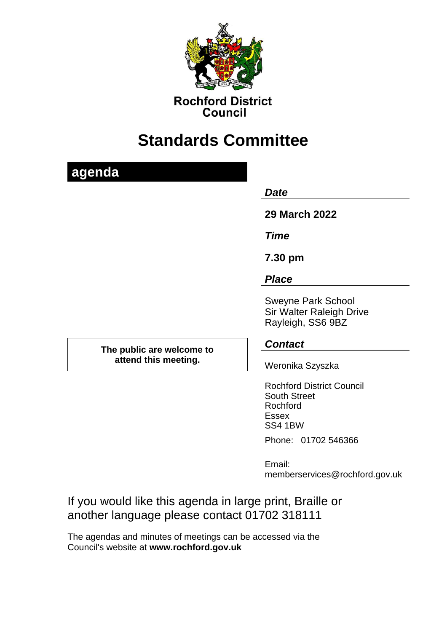

**Rochford District** Council

# **Standards Committee**

|   | e |  |   |  |
|---|---|--|---|--|
| ٠ |   |  | ٠ |  |
|   |   |  |   |  |

*Date* 

**29 March 2022**

*Time*

**7.30 pm**

*Place*

Sweyne Park School Sir Walter Raleigh Drive Rayleigh, SS6 9BZ

#### **The public are welcome to attend this meeting.**

## *Contact*

Weronika Szyszka

Rochford District Council South Street Rochford Essex SS4 1BW

Phone: 01702 546366

Email: memberservices@rochford.gov.uk

If you would like this agenda in large print, Braille or another language please contact 01702 318111

The agendas and minutes of meetings can be accessed via the Council's website at **[www.rochford.gov.uk](http://www.rochford.gov.uk/)**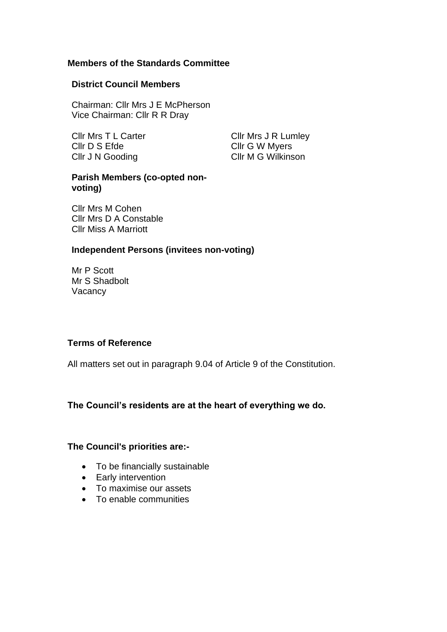#### **Members of the Standards Committee**

#### **District Council Members**

Chairman: Cllr Mrs J E McPherson Vice Chairman: Cllr R R Dray

Cllr Mrs T L Carter Cllr Mrs J R Lumley Cllr D S Efde Cllr J N Gooding

Cllr G W Myers Cllr M G Wilkinson

#### **Parish Members (co-opted nonvoting)**

Cllr Mrs M Cohen Cllr Mrs D A Constable Cllr Miss A Marriott

#### **Independent Persons (invitees non-voting)**

Mr P Scott Mr S Shadbolt **Vacancy** 

#### **Terms of Reference**

All matters set out in paragraph 9.04 of Article 9 of the Constitution.

#### **The Council's residents are at the heart of everything we do.**

#### **The Council's priorities are:-**

- To be financially sustainable
- Early intervention
- To maximise our assets
- To enable communities